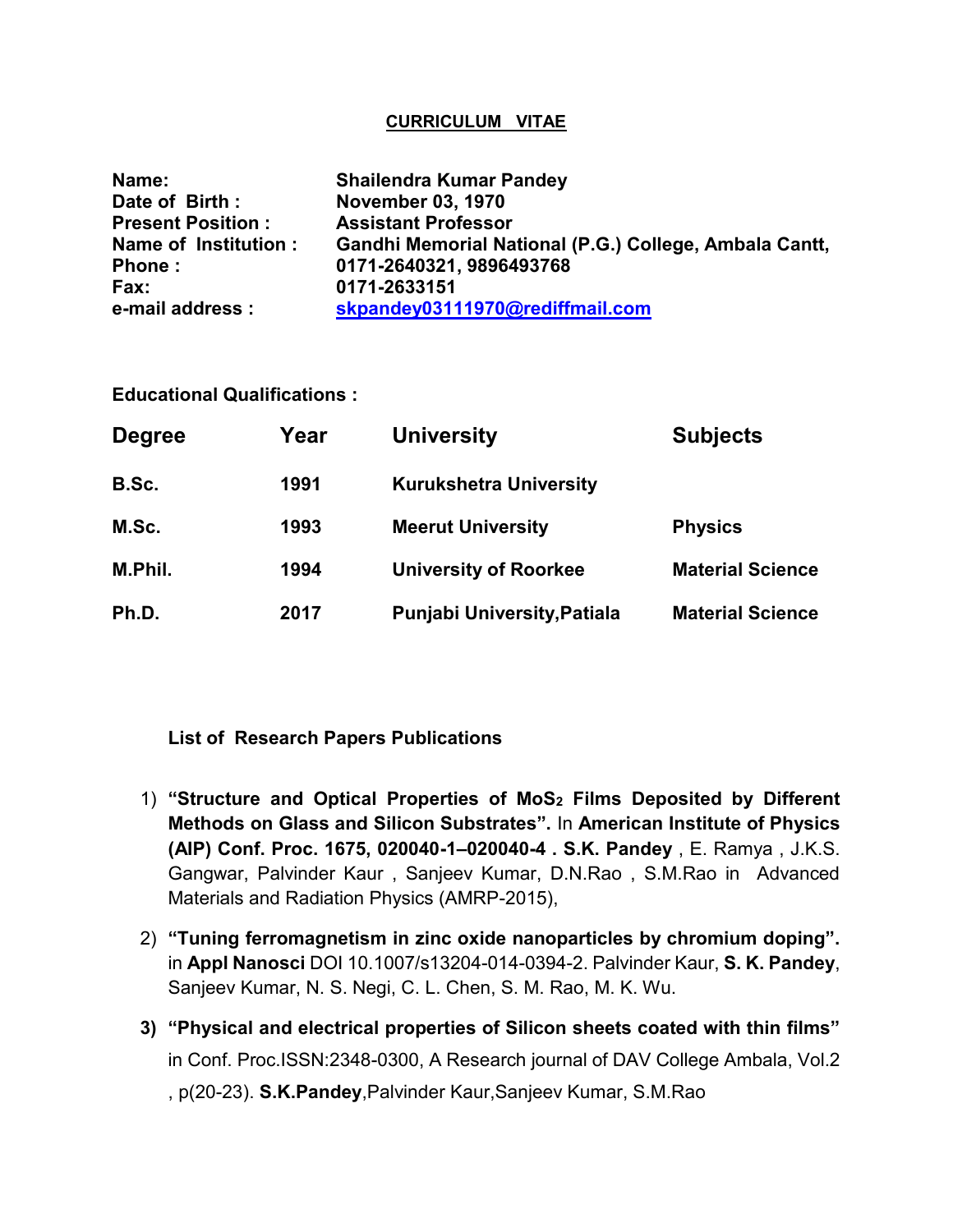### **CURRICULUM VITAE**

| Name:                    | <b>Shailendra Kumar Pandey</b>                         |  |  |
|--------------------------|--------------------------------------------------------|--|--|
| Date of Birth:           | <b>November 03, 1970</b>                               |  |  |
| <b>Present Position:</b> | <b>Assistant Professor</b>                             |  |  |
| Name of Institution :    | Gandhi Memorial National (P.G.) College, Ambala Cantt, |  |  |
| Phone:                   | 0171-2640321, 9896493768                               |  |  |
| Fax:                     | 0171-2633151                                           |  |  |
| e-mail address :         | skpandey03111970@rediffmail.com                        |  |  |

**Educational Qualifications :**

| <b>Degree</b> | Year | <b>University</b>                  | <b>Subjects</b>         |
|---------------|------|------------------------------------|-------------------------|
| B.Sc.         | 1991 | <b>Kurukshetra University</b>      |                         |
| M.Sc.         | 1993 | <b>Meerut University</b>           | <b>Physics</b>          |
| M.Phil.       | 1994 | <b>University of Roorkee</b>       | <b>Material Science</b> |
| Ph.D.         | 2017 | <b>Punjabi University, Patiala</b> | <b>Material Science</b> |

# **List of Research Papers Publications**

- 1) **"Structure and Optical Properties of MoS<sup>2</sup> Films Deposited by Different Methods on Glass and Silicon Substrates".** In **American Institute of Physics (AIP) Conf. Proc. 1675, 020040-1–020040-4 . S.K. Pandey** , E. Ramya , J.K.S. Gangwar, Palvinder Kaur , Sanjeev Kumar, D.N.Rao , S.M.Rao in Advanced Materials and Radiation Physics (AMRP-2015),
- 2) **"Tuning ferromagnetism in zinc oxide nanoparticles by chromium doping".**  in **Appl Nanosci** DOI 10.1007/s13204-014-0394-2. Palvinder Kaur, **S. K. Pandey**, Sanjeev Kumar, N. S. Negi, C. L. Chen, S. M. Rao, M. K. Wu.
- **3) "Physical and electrical properties of Silicon sheets coated with thin films"**  in Conf. Proc.ISSN:2348-0300, A Research journal of DAV College Ambala, Vol.2 , p(20-23). **S.K.Pandey**,Palvinder Kaur,Sanjeev Kumar, S.M.Rao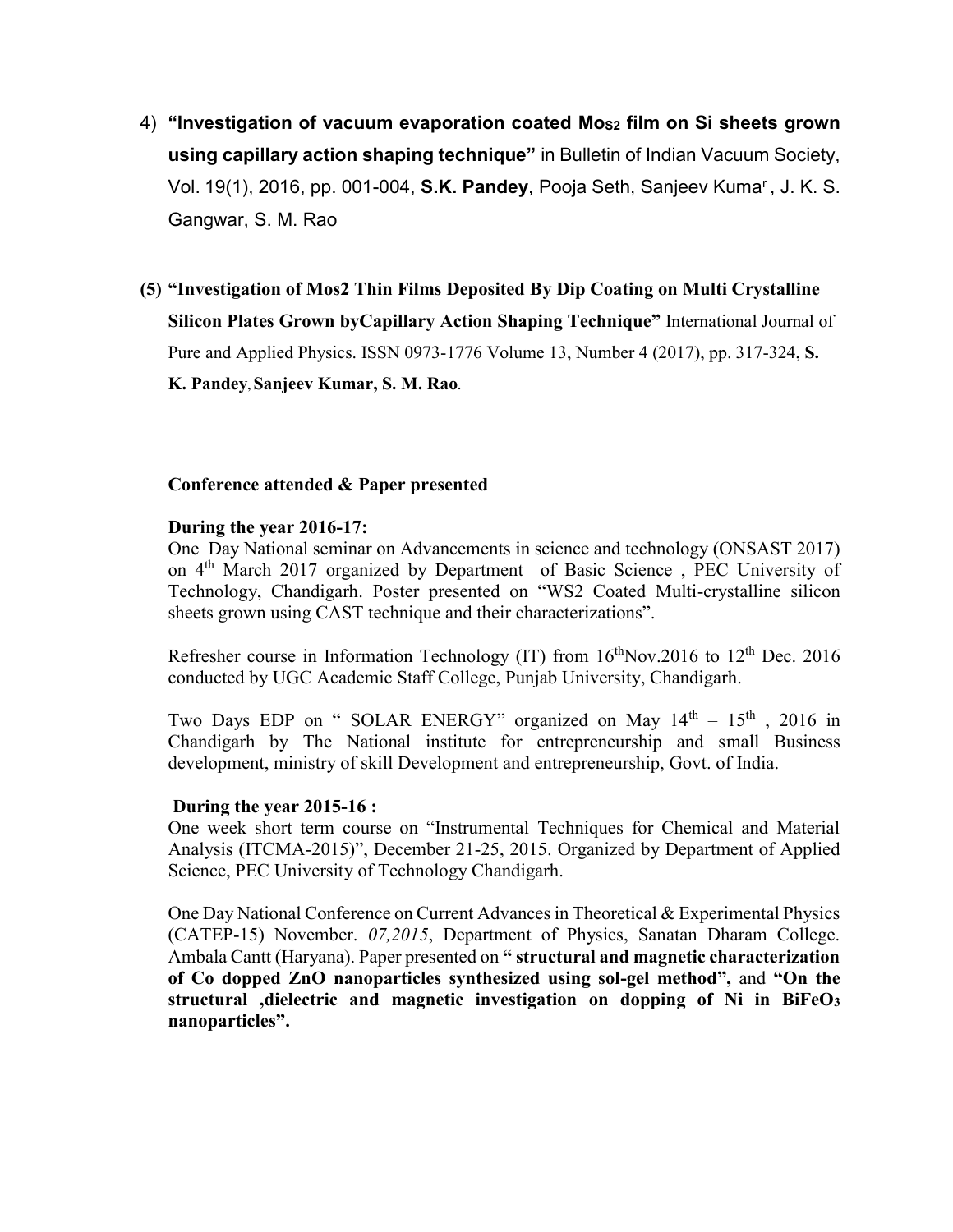4) **"Investigation of vacuum evaporation coated MoS2 film on Si sheets grown using capillary action shaping technique"** in Bulletin of Indian Vacuum Society, Vol. 19(1), 2016, pp. 001-004, **S.K. Pandey**, Pooja Seth, Sanjeev Kuma<sup>r</sup> , J. K. S. Gangwar, S. M. Rao

### **(5) "Investigation of Mos2 Thin Films Deposited By Dip Coating on Multi Crystalline**

**Silicon Plates Grown byCapillary Action Shaping Technique"** International Journal of Pure and Applied Physics. ISSN 0973-1776 Volume 13, Number 4 (2017), pp. 317-324, **S. K. Pandey, Sanjeev Kumar, S. M. Rao.**

### **Conference attended & Paper presented**

### **During the year 2016-17:**

One Day National seminar on Advancements in science and technology (ONSAST 2017) on 4<sup>th</sup> March 2017 organized by Department of Basic Science, PEC University of Technology, Chandigarh. Poster presented on "WS2 Coated Multi-crystalline silicon sheets grown using CAST technique and their characterizations".

Refresher course in Information Technology (IT) from  $16<sup>th</sup>Nov.2016$  to  $12<sup>th</sup> Dec. 2016$ conducted by UGC Academic Staff College, Punjab University, Chandigarh.

Two Days EDP on " SOLAR ENERGY" organized on May  $14<sup>th</sup> - 15<sup>th</sup>$ , 2016 in Chandigarh by The National institute for entrepreneurship and small Business development, ministry of skill Development and entrepreneurship, Govt. of India.

### **During the year 2015-16 :**

One week short term course on "Instrumental Techniques for Chemical and Material Analysis (ITCMA-2015)", December 21-25, 2015. Organized by Department of Applied Science, PEC University of Technology Chandigarh.

One Day National Conference on Current Advances in Theoretical & Experimental Physics (CATEP-15) November. *07,2015*, Department of Physics, Sanatan Dharam College. Ambala Cantt (Haryana). Paper presented on **" structural and magnetic characterization of Co dopped ZnO nanoparticles synthesized using sol-gel method",** and **"On the structural ,dielectric and magnetic investigation on dopping of Ni in BiFeO<sup>3</sup> nanoparticles".**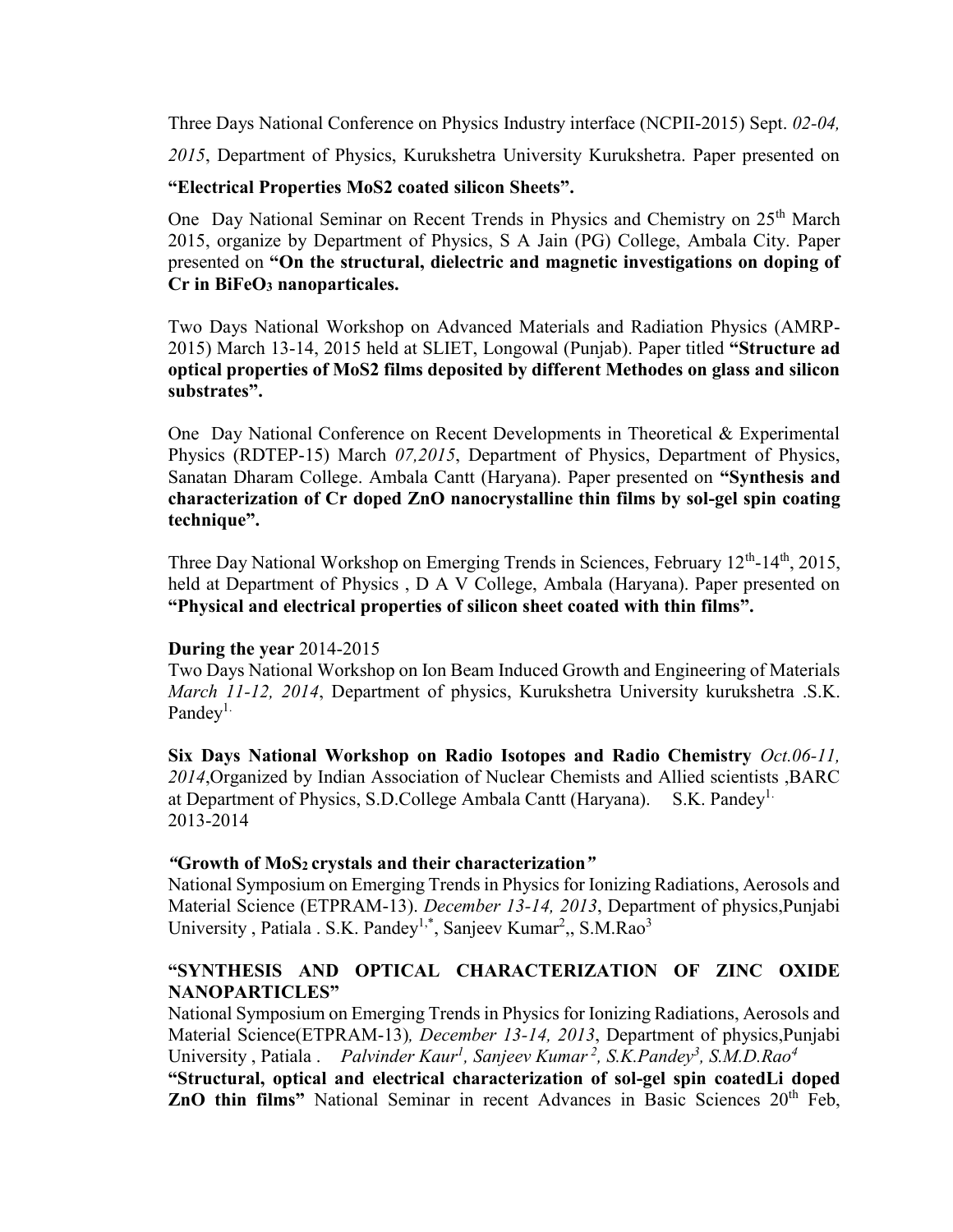Three Days National Conference on Physics Industry interface (NCPII-2015) Sept. *02-04,* 

*2015*, Department of Physics, Kurukshetra University Kurukshetra. Paper presented on

## **"Electrical Properties MoS2 coated silicon Sheets".**

One Day National Seminar on Recent Trends in Physics and Chemistry on 25<sup>th</sup> March 2015, organize by Department of Physics, S A Jain (PG) College, Ambala City. Paper presented on **"On the structural, dielectric and magnetic investigations on doping of Cr in BiFeO<sup>3</sup> nanoparticales.**

Two Days National Workshop on Advanced Materials and Radiation Physics (AMRP-2015) March 13-14, 2015 held at SLIET, Longowal (Punjab). Paper titled **"Structure ad optical properties of MoS2 films deposited by different Methodes on glass and silicon substrates".**

One Day National Conference on Recent Developments in Theoretical & Experimental Physics (RDTEP-15) March *07,2015*, Department of Physics, Department of Physics, Sanatan Dharam College. Ambala Cantt (Haryana). Paper presented on **"Synthesis and characterization of Cr doped ZnO nanocrystalline thin films by sol-gel spin coating technique".**

Three Day National Workshop on Emerging Trends in Sciences, February 12<sup>th</sup>-14<sup>th</sup>, 2015, held at Department of Physics , D A V College, Ambala (Haryana). Paper presented on **"Physical and electrical properties of silicon sheet coated with thin films".**

### **During the year** 2014-2015

Two Days National Workshop on Ion Beam Induced Growth and Engineering of Materials *March 11-12, 2014*, Department of physics, Kurukshetra University kurukshetra .S.K. Pandey<sup>1.</sup>

**Six Days National Workshop on Radio Isotopes and Radio Chemistry** *Oct.06-11, 2014*,Organized by Indian Association of Nuclear Chemists and Allied scientists ,BARC at Department of Physics, S.D.College Ambala Cantt (Haryana). S.K. Pandey<sup>1.</sup> 2013-2014

### *"***Growth of MoS2 crystals and their characterization***"*

National Symposium on Emerging Trends in Physics for Ionizing Radiations, Aerosols and Material Science (ETPRAM-13). *December 13-14, 2013*, Department of physics,Punjabi University, Patiala . S.K. Pandey<sup>1,\*</sup>, Sanjeev Kumar<sup>2</sup>,, S.M.Rao<sup>3</sup>

# **"SYNTHESIS AND OPTICAL CHARACTERIZATION OF ZINC OXIDE NANOPARTICLES"**

National Symposium on Emerging Trends in Physics for Ionizing Radiations, Aerosols and Material Science(ETPRAM-13)*, December 13-14, 2013*, Department of physics,Punjabi University, Patiala. *Palvinder Kaur<sup>1</sup>, Sanjeev Kumar<sup>2</sup>, S.K.Pandey<sup>3</sup>, S.M.D.Rao<sup>4</sup>* **"Structural, optical and electrical characterization of sol-gel spin coatedLi doped ZnO thin films**" National Seminar in recent Advances in Basic Sciences 20<sup>th</sup> Feb,